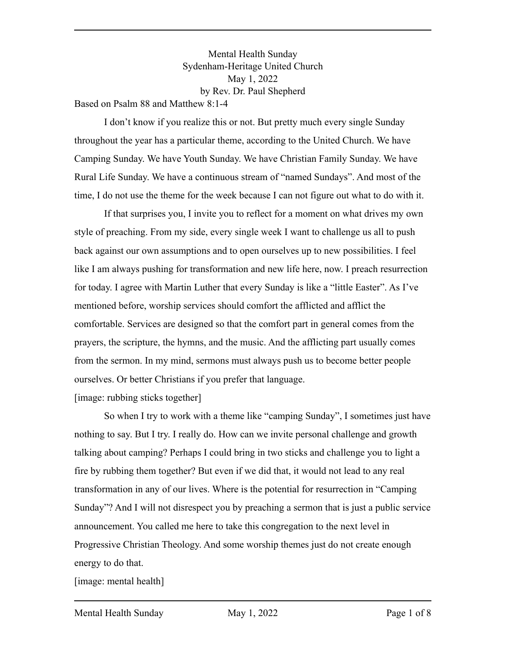Mental Health Sunday Sydenham-Heritage United Church May 1, 2022 by Rev. Dr. Paul Shepherd Based on Psalm 88 and Matthew 8:1-4

I don't know if you realize this or not. But pretty much every single Sunday throughout the year has a particular theme, according to the United Church. We have Camping Sunday. We have Youth Sunday. We have Christian Family Sunday. We have Rural Life Sunday. We have a continuous stream of "named Sundays". And most of the time, I do not use the theme for the week because I can not figure out what to do with it.

If that surprises you, I invite you to reflect for a moment on what drives my own style of preaching. From my side, every single week I want to challenge us all to push back against our own assumptions and to open ourselves up to new possibilities. I feel like I am always pushing for transformation and new life here, now. I preach resurrection for today. I agree with Martin Luther that every Sunday is like a "little Easter". As I've mentioned before, worship services should comfort the afflicted and afflict the comfortable. Services are designed so that the comfort part in general comes from the prayers, the scripture, the hymns, and the music. And the afflicting part usually comes from the sermon. In my mind, sermons must always push us to become better people ourselves. Or better Christians if you prefer that language.

[image: rubbing sticks together]

So when I try to work with a theme like "camping Sunday", I sometimes just have nothing to say. But I try. I really do. How can we invite personal challenge and growth talking about camping? Perhaps I could bring in two sticks and challenge you to light a fire by rubbing them together? But even if we did that, it would not lead to any real transformation in any of our lives. Where is the potential for resurrection in "Camping Sunday"? And I will not disrespect you by preaching a sermon that is just a public service announcement. You called me here to take this congregation to the next level in Progressive Christian Theology. And some worship themes just do not create enough energy to do that.

[image: mental health]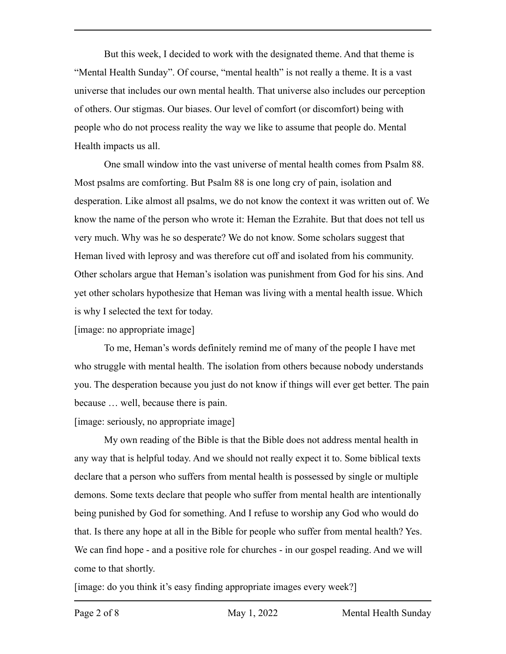But this week, I decided to work with the designated theme. And that theme is "Mental Health Sunday". Of course, "mental health" is not really a theme. It is a vast universe that includes our own mental health. That universe also includes our perception of others. Our stigmas. Our biases. Our level of comfort (or discomfort) being with people who do not process reality the way we like to assume that people do. Mental Health impacts us all.

One small window into the vast universe of mental health comes from Psalm 88. Most psalms are comforting. But Psalm 88 is one long cry of pain, isolation and desperation. Like almost all psalms, we do not know the context it was written out of. We know the name of the person who wrote it: Heman the Ezrahite. But that does not tell us very much. Why was he so desperate? We do not know. Some scholars suggest that Heman lived with leprosy and was therefore cut off and isolated from his community. Other scholars argue that Heman's isolation was punishment from God for his sins. And yet other scholars hypothesize that Heman was living with a mental health issue. Which is why I selected the text for today.

[image: no appropriate image]

To me, Heman's words definitely remind me of many of the people I have met who struggle with mental health. The isolation from others because nobody understands you. The desperation because you just do not know if things will ever get better. The pain because … well, because there is pain.

[image: seriously, no appropriate image]

My own reading of the Bible is that the Bible does not address mental health in any way that is helpful today. And we should not really expect it to. Some biblical texts declare that a person who suffers from mental health is possessed by single or multiple demons. Some texts declare that people who suffer from mental health are intentionally being punished by God for something. And I refuse to worship any God who would do that. Is there any hope at all in the Bible for people who suffer from mental health? Yes. We can find hope - and a positive role for churches - in our gospel reading. And we will come to that shortly.

[image: do you think it's easy finding appropriate images every week?]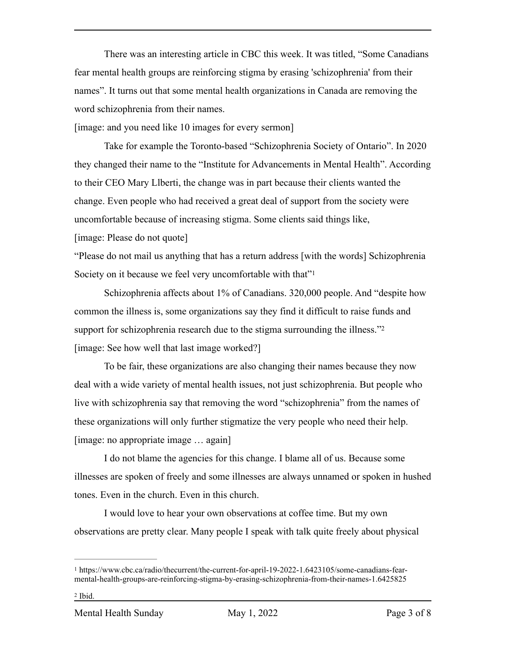There was an interesting article in CBC this week. It was titled, "Some Canadians fear mental health groups are reinforcing stigma by erasing 'schizophrenia' from their names". It turns out that some mental health organizations in Canada are removing the word schizophrenia from their names.

[image: and you need like 10 images for every sermon]

Take for example the Toronto-based "Schizophrenia Society of Ontario". In 2020 they changed their name to the "Institute for Advancements in Mental Health". According to their CEO Mary Llberti, the change was in part because their clients wanted the change. Even people who had received a great deal of support from the society were uncomfortable because of increasing stigma. Some clients said things like,

[image: Please do not quote]

<span id="page-2-2"></span>"Please do not mail us anything that has a return address [with the words] Schizophrenia Society on it because we feel very uncomfortable with that"<sup>[1](#page-2-0)</sup>

<span id="page-2-3"></span>Schizophrenia affects about 1% of Canadians. 320,000 people. And "despite how common the illness is, some organizations say they find it difficult to raise funds and support for schizophrenia research due to the stigma surrounding the illness."[2](#page-2-1) [image: See how well that last image worked?]

To be fair, these organizations are also changing their names because they now deal with a wide variety of mental health issues, not just schizophrenia. But people who live with schizophrenia say that removing the word "schizophrenia" from the names of these organizations will only further stigmatize the very people who need their help. [image: no appropriate image … again]

I do not blame the agencies for this change. I blame all of us. Because some illnesses are spoken of freely and some illnesses are always unnamed or spoken in hushed tones. Even in the church. Even in this church.

I would love to hear your own observations at coffee time. But my own observations are pretty clear. Many people I speak with talk quite freely about physical

<span id="page-2-1"></span><span id="page-2-0"></span><sup>&</sup>lt;sup>[1](#page-2-2)</sup> https://www.cbc.ca/radio/thecurrent/the-current-for-april-19-2022-1.6423105/some-canadians-fearmental-health-groups-are-reinforcing-stigma-by-erasing-schizophrenia-from-their-names-1.6425825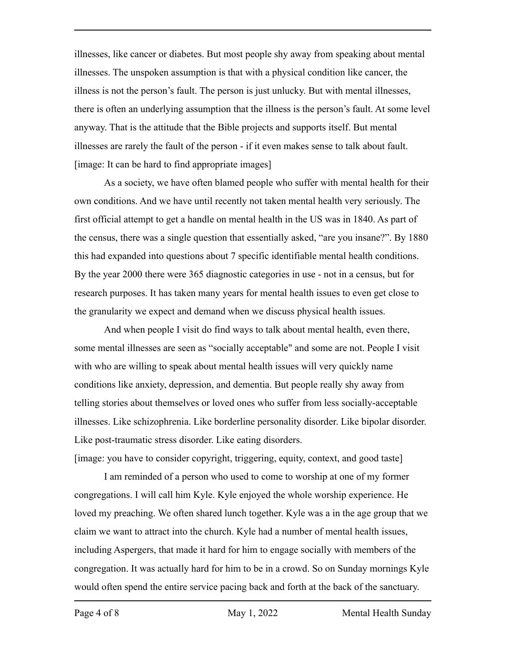illnesses, like cancer or diabetes. But most people shy away from speaking about mental illnesses. The unspoken assumption is that with a physical condition like cancer, the illness is not the person's fault. The person is just unlucky. But with mental illnesses, there is often an underlying assumption that the illness is the person's fault. At some level anyway. That is the attitude that the Bible projects and supports itself. But mental illnesses are rarely the fault of the person - if it even makes sense to talk about fault. [image: It can be hard to find appropriate images]

As a society, we have often blamed people who suffer with mental health for their own conditions. And we have until recently not taken mental health very seriously. The first official attempt to get a handle on mental health in the US was in 1840. As part of the census, there was a single question that essentially asked, "are you insane?". By 1880 this had expanded into questions about 7 specific identifiable mental health conditions. By the year 2000 there were 365 diagnostic categories in use - not in a census, but for research purposes. It has taken many years for mental health issues to even get close to the granularity we expect and demand when we discuss physical health issues.

And when people I visit do find ways to talk about mental health, even there, some mental illnesses are seen as "socially acceptable" and some are not. People I visit with who are willing to speak about mental health issues will very quickly name conditions like anxiety, depression, and dementia. But people really shy away from telling stories about themselves or loved ones who suffer from less socially-acceptable illnesses. Like schizophrenia. Like borderline personality disorder. Like bipolar disorder. Like post-traumatic stress disorder. Like eating disorders.

[image: you have to consider copyright, triggering, equity, context, and good taste]

I am reminded of a person who used to come to worship at one of my former congregations. I will call him Kyle. Kyle enjoyed the whole worship experience. He loved my preaching. We often shared lunch together. Kyle was a in the age group that we claim we want to attract into the church. Kyle had a number of mental health issues, including Aspergers, that made it hard for him to engage socially with members of the congregation. It was actually hard for him to be in a crowd. So on Sunday mornings Kyle would often spend the entire service pacing back and forth at the back of the sanctuary.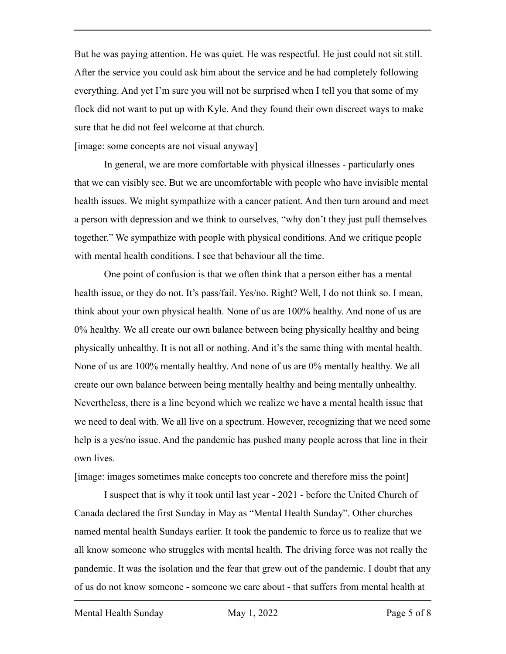But he was paying attention. He was quiet. He was respectful. He just could not sit still. After the service you could ask him about the service and he had completely following everything. And yet I'm sure you will not be surprised when I tell you that some of my flock did not want to put up with Kyle. And they found their own discreet ways to make sure that he did not feel welcome at that church.

[image: some concepts are not visual anyway]

In general, we are more comfortable with physical illnesses - particularly ones that we can visibly see. But we are uncomfortable with people who have invisible mental health issues. We might sympathize with a cancer patient. And then turn around and meet a person with depression and we think to ourselves, "why don't they just pull themselves together." We sympathize with people with physical conditions. And we critique people with mental health conditions. I see that behaviour all the time.

One point of confusion is that we often think that a person either has a mental health issue, or they do not. It's pass/fail. Yes/no. Right? Well, I do not think so. I mean, think about your own physical health. None of us are 100% healthy. And none of us are 0% healthy. We all create our own balance between being physically healthy and being physically unhealthy. It is not all or nothing. And it's the same thing with mental health. None of us are 100% mentally healthy. And none of us are 0% mentally healthy. We all create our own balance between being mentally healthy and being mentally unhealthy. Nevertheless, there is a line beyond which we realize we have a mental health issue that we need to deal with. We all live on a spectrum. However, recognizing that we need some help is a yes/no issue. And the pandemic has pushed many people across that line in their own lives.

[image: images sometimes make concepts too concrete and therefore miss the point]

I suspect that is why it took until last year - 2021 - before the United Church of Canada declared the first Sunday in May as "Mental Health Sunday". Other churches named mental health Sundays earlier. It took the pandemic to force us to realize that we all know someone who struggles with mental health. The driving force was not really the pandemic. It was the isolation and the fear that grew out of the pandemic. I doubt that any of us do not know someone - someone we care about - that suffers from mental health at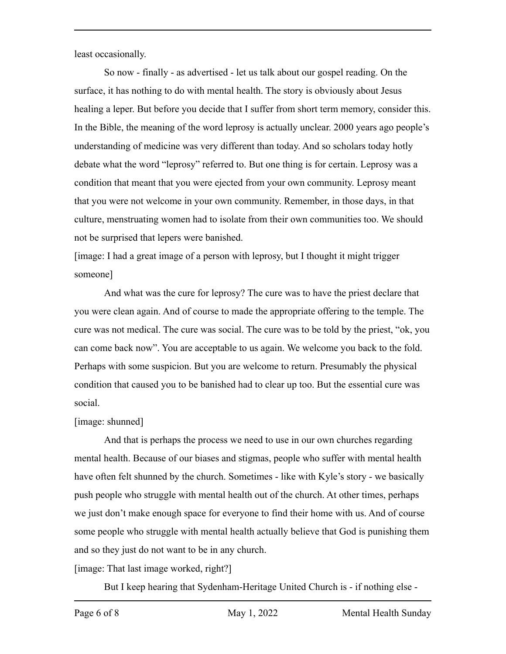least occasionally.

So now - finally - as advertised - let us talk about our gospel reading. On the surface, it has nothing to do with mental health. The story is obviously about Jesus healing a leper. But before you decide that I suffer from short term memory, consider this. In the Bible, the meaning of the word leprosy is actually unclear. 2000 years ago people's understanding of medicine was very different than today. And so scholars today hotly debate what the word "leprosy" referred to. But one thing is for certain. Leprosy was a condition that meant that you were ejected from your own community. Leprosy meant that you were not welcome in your own community. Remember, in those days, in that culture, menstruating women had to isolate from their own communities too. We should not be surprised that lepers were banished.

[image: I had a great image of a person with leprosy, but I thought it might trigger someone]

And what was the cure for leprosy? The cure was to have the priest declare that you were clean again. And of course to made the appropriate offering to the temple. The cure was not medical. The cure was social. The cure was to be told by the priest, "ok, you can come back now". You are acceptable to us again. We welcome you back to the fold. Perhaps with some suspicion. But you are welcome to return. Presumably the physical condition that caused you to be banished had to clear up too. But the essential cure was social.

## [image: shunned]

And that is perhaps the process we need to use in our own churches regarding mental health. Because of our biases and stigmas, people who suffer with mental health have often felt shunned by the church. Sometimes - like with Kyle's story - we basically push people who struggle with mental health out of the church. At other times, perhaps we just don't make enough space for everyone to find their home with us. And of course some people who struggle with mental health actually believe that God is punishing them and so they just do not want to be in any church.

[image: That last image worked, right?]

But I keep hearing that Sydenham-Heritage United Church is - if nothing else -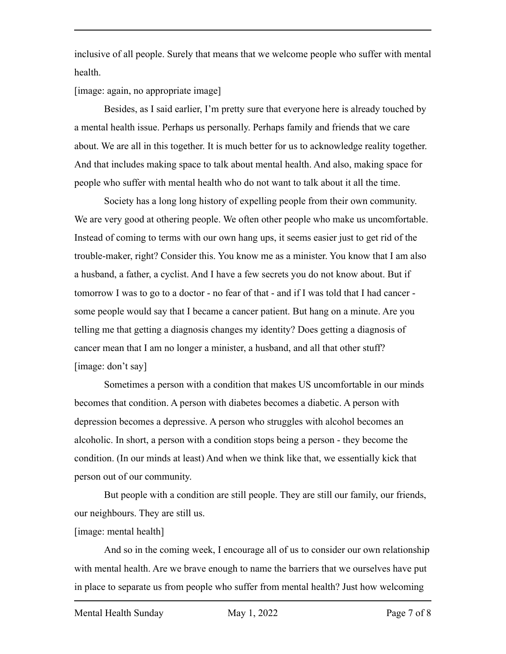inclusive of all people. Surely that means that we welcome people who suffer with mental health.

[image: again, no appropriate image]

Besides, as I said earlier, I'm pretty sure that everyone here is already touched by a mental health issue. Perhaps us personally. Perhaps family and friends that we care about. We are all in this together. It is much better for us to acknowledge reality together. And that includes making space to talk about mental health. And also, making space for people who suffer with mental health who do not want to talk about it all the time.

Society has a long long history of expelling people from their own community. We are very good at othering people. We often other people who make us uncomfortable. Instead of coming to terms with our own hang ups, it seems easier just to get rid of the trouble-maker, right? Consider this. You know me as a minister. You know that I am also a husband, a father, a cyclist. And I have a few secrets you do not know about. But if tomorrow I was to go to a doctor - no fear of that - and if I was told that I had cancer some people would say that I became a cancer patient. But hang on a minute. Are you telling me that getting a diagnosis changes my identity? Does getting a diagnosis of cancer mean that I am no longer a minister, a husband, and all that other stuff? [image: don't say]

Sometimes a person with a condition that makes US uncomfortable in our minds becomes that condition. A person with diabetes becomes a diabetic. A person with depression becomes a depressive. A person who struggles with alcohol becomes an alcoholic. In short, a person with a condition stops being a person - they become the condition. (In our minds at least) And when we think like that, we essentially kick that person out of our community.

But people with a condition are still people. They are still our family, our friends, our neighbours. They are still us.

## [image: mental health]

And so in the coming week, I encourage all of us to consider our own relationship with mental health. Are we brave enough to name the barriers that we ourselves have put in place to separate us from people who suffer from mental health? Just how welcoming